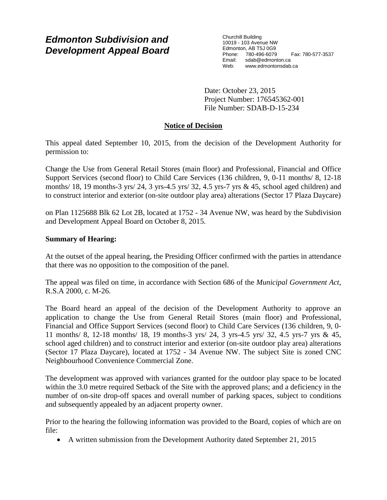# *Edmonton Subdivision and Development Appeal Board*

Churchill Building 10019 - 103 Avenue NW Edmonton, AB T5J 0G9 Phone: 780-496-6079 Fax: 780-577-3537 Email: sdab@edmonton.ca<br>Web: www.edmontonsdab www.edmontonsdab.ca

Date: October 23, 2015 Project Number: 176545362-001 File Number: SDAB-D-15-234

# **Notice of Decision**

This appeal dated September 10, 2015, from the decision of the Development Authority for permission to:

Change the Use from General Retail Stores (main floor) and Professional, Financial and Office Support Services (second floor) to Child Care Services (136 children, 9, 0-11 months/ 8, 12-18 months/ 18, 19 months-3 yrs/ 24, 3 yrs-4.5 yrs/ 32, 4.5 yrs-7 yrs & 45, school aged children) and to construct interior and exterior (on-site outdoor play area) alterations (Sector 17 Plaza Daycare)

on Plan 1125688 Blk 62 Lot 2B, located at 1752 - 34 Avenue NW, was heard by the Subdivision and Development Appeal Board on October 8, 2015.

### **Summary of Hearing:**

At the outset of the appeal hearing, the Presiding Officer confirmed with the parties in attendance that there was no opposition to the composition of the panel.

The appeal was filed on time, in accordance with Section 686 of the *Municipal Government Act*, R.S.A 2000, c. M-26.

The Board heard an appeal of the decision of the Development Authority to approve an application to change the Use from General Retail Stores (main floor) and Professional, Financial and Office Support Services (second floor) to Child Care Services (136 children, 9, 0- 11 months/ 8, 12-18 months/ 18, 19 months-3 yrs/ 24, 3 yrs-4.5 yrs/ 32, 4.5 yrs-7 yrs & 45, school aged children) and to construct interior and exterior (on-site outdoor play area) alterations (Sector 17 Plaza Daycare), located at 1752 - 34 Avenue NW. The subject Site is zoned CNC Neighbourhood Convenience Commercial Zone.

The development was approved with variances granted for the outdoor play space to be located within the 3.0 metre required Setback of the Site with the approved plans; and a deficiency in the number of on-site drop-off spaces and overall number of parking spaces, subject to conditions and subsequently appealed by an adjacent property owner.

Prior to the hearing the following information was provided to the Board, copies of which are on file:

• A written submission from the Development Authority dated September 21, 2015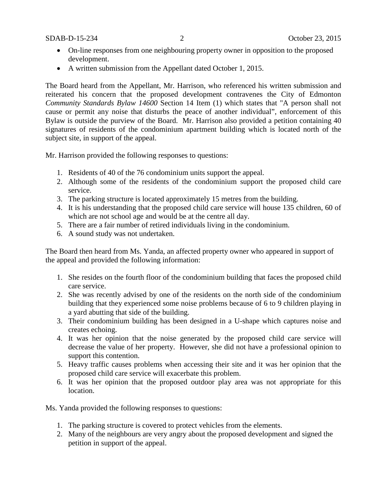- On-line responses from one neighbouring property owner in opposition to the proposed development.
- A written submission from the Appellant dated October 1, 2015.

The Board heard from the Appellant, Mr. Harrison, who referenced his written submission and reiterated his concern that the proposed development contravenes the City of Edmonton *Community Standards Bylaw 14600* Section 14 Item (1) which states that "A person shall not cause or permit any noise that disturbs the peace of another individual", enforcement of this Bylaw is outside the purview of the Board. Mr. Harrison also provided a petition containing 40 signatures of residents of the condominium apartment building which is located north of the subject site, in support of the appeal.

Mr. Harrison provided the following responses to questions:

- 1. Residents of 40 of the 76 condominium units support the appeal.
- 2. Although some of the residents of the condominium support the proposed child care service.
- 3. The parking structure is located approximately 15 metres from the building.
- 4. It is his understanding that the proposed child care service will house 135 children, 60 of which are not school age and would be at the centre all day.
- 5. There are a fair number of retired individuals living in the condominium.
- 6. A sound study was not undertaken.

The Board then heard from Ms. Yanda, an affected property owner who appeared in support of the appeal and provided the following information:

- 1. She resides on the fourth floor of the condominium building that faces the proposed child care service.
- 2. She was recently advised by one of the residents on the north side of the condominium building that they experienced some noise problems because of 6 to 9 children playing in a yard abutting that side of the building.
- 3. Their condominium building has been designed in a U-shape which captures noise and creates echoing.
- 4. It was her opinion that the noise generated by the proposed child care service will decrease the value of her property. However, she did not have a professional opinion to support this contention.
- 5. Heavy traffic causes problems when accessing their site and it was her opinion that the proposed child care service will exacerbate this problem.
- 6. It was her opinion that the proposed outdoor play area was not appropriate for this location.

Ms. Yanda provided the following responses to questions:

- 1. The parking structure is covered to protect vehicles from the elements.
- 2. Many of the neighbours are very angry about the proposed development and signed the petition in support of the appeal.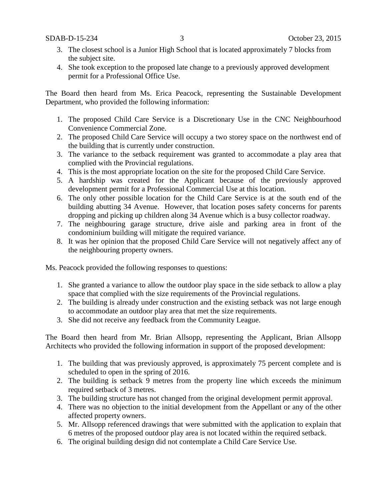- 3. The closest school is a Junior High School that is located approximately 7 blocks from the subject site.
- 4. She took exception to the proposed late change to a previously approved development permit for a Professional Office Use.

The Board then heard from Ms. Erica Peacock, representing the Sustainable Development Department, who provided the following information:

- 1. The proposed Child Care Service is a Discretionary Use in the CNC Neighbourhood Convenience Commercial Zone.
- 2. The proposed Child Care Service will occupy a two storey space on the northwest end of the building that is currently under construction.
- 3. The variance to the setback requirement was granted to accommodate a play area that complied with the Provincial regulations.
- 4. This is the most appropriate location on the site for the proposed Child Care Service.
- 5. A hardship was created for the Applicant because of the previously approved development permit for a Professional Commercial Use at this location.
- 6. The only other possible location for the Child Care Service is at the south end of the building abutting 34 Avenue. However, that location poses safety concerns for parents dropping and picking up children along 34 Avenue which is a busy collector roadway.
- 7. The neighbouring garage structure, drive aisle and parking area in front of the condominium building will mitigate the required variance.
- 8. It was her opinion that the proposed Child Care Service will not negatively affect any of the neighbouring property owners.

Ms. Peacock provided the following responses to questions:

- 1. She granted a variance to allow the outdoor play space in the side setback to allow a play space that complied with the size requirements of the Provincial regulations.
- 2. The building is already under construction and the existing setback was not large enough to accommodate an outdoor play area that met the size requirements.
- 3. She did not receive any feedback from the Community League.

The Board then heard from Mr. Brian Allsopp, representing the Applicant, Brian Allsopp Architects who provided the following information in support of the proposed development:

- 1. The building that was previously approved, is approximately 75 percent complete and is scheduled to open in the spring of 2016.
- 2. The building is setback 9 metres from the property line which exceeds the minimum required setback of 3 metres.
- 3. The building structure has not changed from the original development permit approval.
- 4. There was no objection to the initial development from the Appellant or any of the other affected property owners.
- 5. Mr. Allsopp referenced drawings that were submitted with the application to explain that 6 metres of the proposed outdoor play area is not located within the required setback.
- 6. The original building design did not contemplate a Child Care Service Use.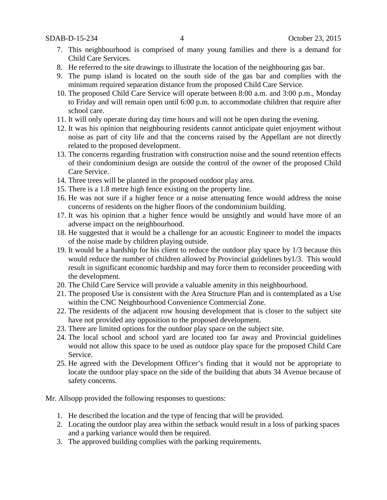- 7. This neighbourhood is comprised of many young families and there is a demand for Child Care Services.
- 8. He referred to the site drawings to illustrate the location of the neighbouring gas bar.
- 9. The pump island is located on the south side of the gas bar and complies with the minimum required separation distance from the proposed Child Care Service.
- 10. The proposed Child Care Service will operate between 8:00 a.m. and 3:00 p.m., Monday to Friday and will remain open until 6:00 p.m. to accommodate children that require after school care.
- 11. It will only operate during day time hours and will not be open during the evening.
- 12. It was his opinion that neighbouring residents cannot anticipate quiet enjoyment without noise as part of city life and that the concerns raised by the Appellant are not directly related to the proposed development.
- 13. The concerns regarding frustration with construction noise and the sound retention effects of their condominium design are outside the control of the owner of the proposed Child Care Service.
- 14. Three trees will be planted in the proposed outdoor play area.
- 15. There is a 1.8 metre high fence existing on the property line.
- 16. He was not sure if a higher fence or a noise attenuating fence would address the noise concerns of residents on the higher floors of the condominium building.
- 17. It was his opinion that a higher fence would be unsightly and would have more of an adverse impact on the neighbourhood.
- 18. He suggested that it would be a challenge for an acoustic Engineer to model the impacts of the noise made by children playing outside.
- 19. It would be a hardship for his client to reduce the outdoor play space by 1/3 because this would reduce the number of children allowed by Provincial guidelines by1/3. This would result in significant economic hardship and may force them to reconsider proceeding with the development.
- 20. The Child Care Service will provide a valuable amenity in this neighbourhood.
- 21. The proposed Use is consistent with the Area Structure Plan and is contemplated as a Use within the CNC Neighbourhood Convenience Commercial Zone.
- 22. The residents of the adjacent row housing development that is closer to the subject site have not provided any opposition to the proposed development.
- 23. There are limited options for the outdoor play space on the subject site.
- 24. The local school and school yard are located too far away and Provincial guidelines would not allow this space to be used as outdoor play space for the proposed Child Care Service.
- 25. He agreed with the Development Officer's finding that it would not be appropriate to locate the outdoor play space on the side of the building that abuts 34 Avenue because of safety concerns.

Mr. Allsopp provided the following responses to questions:

- 1. He described the location and the type of fencing that will be provided.
- 2. Locating the outdoor play area within the setback would result in a loss of parking spaces and a parking variance would then be required.
- 3. The approved building complies with the parking requirements.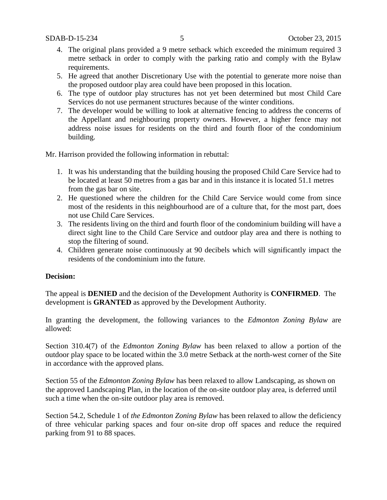- 4. The original plans provided a 9 metre setback which exceeded the minimum required 3 metre setback in order to comply with the parking ratio and comply with the Bylaw requirements.
- 5. He agreed that another Discretionary Use with the potential to generate more noise than the proposed outdoor play area could have been proposed in this location.
- 6. The type of outdoor play structures has not yet been determined but most Child Care Services do not use permanent structures because of the winter conditions.
- 7. The developer would be willing to look at alternative fencing to address the concerns of the Appellant and neighbouring property owners. However, a higher fence may not address noise issues for residents on the third and fourth floor of the condominium building.

Mr. Harrison provided the following information in rebuttal:

- 1. It was his understanding that the building housing the proposed Child Care Service had to be located at least 50 metres from a gas bar and in this instance it is located 51.1 metres from the gas bar on site.
- 2. He questioned where the children for the Child Care Service would come from since most of the residents in this neighbourhood are of a culture that, for the most part, does not use Child Care Services.
- 3. The residents living on the third and fourth floor of the condominium building will have a direct sight line to the Child Care Service and outdoor play area and there is nothing to stop the filtering of sound.
- 4. Children generate noise continuously at 90 decibels which will significantly impact the residents of the condominium into the future.

### **Decision:**

The appeal is **DENIED** and the decision of the Development Authority is **CONFIRMED**. The development is **GRANTED** as approved by the Development Authority.

In granting the development, the following variances to the *Edmonton Zoning Bylaw* are allowed:

Section 310.4(7) of the *Edmonton Zoning Bylaw* has been relaxed to allow a portion of the outdoor play space to be located within the 3.0 metre Setback at the north-west corner of the Site in accordance with the approved plans.

Section 55 of the *Edmonton Zoning Bylaw* has been relaxed to allow Landscaping, as shown on the approved Landscaping Plan, in the location of the on-site outdoor play area, is deferred until such a time when the on-site outdoor play area is removed.

Section 54.2, Schedule 1 of *the Edmonton Zoning Bylaw* has been relaxed to allow the deficiency of three vehicular parking spaces and four on-site drop off spaces and reduce the required parking from 91 to 88 spaces.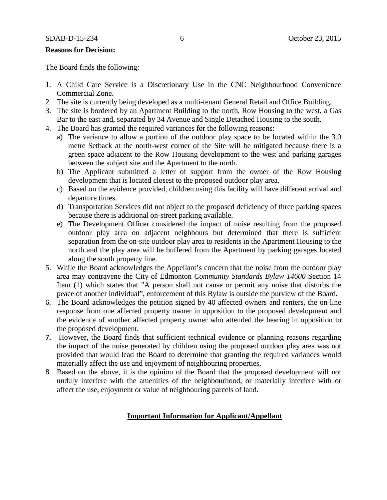#### **Reasons for Decision:**

The Board finds the following:

- 1. A Child Care Service is a Discretionary Use in the CNC Neighbourhood Convenience Commercial Zone.
- 2. The site is currently being developed as a multi-tenant General Retail and Office Building.
- 3. The site is bordered by an Apartment Building to the north, Row Housing to the west, a Gas Bar to the east and, separated by 34 Avenue and Single Detached Housing to the south.
- 4. The Board has granted the required variances for the following reasons:
	- a) The variance to allow a portion of the outdoor play space to be located within the 3.0 metre Setback at the north-west corner of the Site will be mitigated because there is a green space adjacent to the Row Housing development to the west and parking garages between the subject site and the Apartment to the north.
	- b) The Applicant submitted a letter of support from the owner of the Row Housing development that is located closest to the proposed outdoor play area.
	- c) Based on the evidence provided, children using this facility will have different arrival and departure times.
	- d) Transportation Services did not object to the proposed deficiency of three parking spaces because there is additional on-street parking available.
	- e) The Development Officer considered the impact of noise resulting from the proposed outdoor play area on adjacent neighbours but determined that there is sufficient separation from the on-site outdoor play area to residents in the Apartment Housing to the north and the play area will be buffered from the Apartment by parking garages located along the south property line.
- 5. While the Board acknowledges the Appellant's concern that the noise from the outdoor play area may contravene the City of Edmonton *Community Standards Bylaw 14600* Section 14 Item (1) which states that "A person shall not cause or permit any noise that disturbs the peace of another individual", enforcement of this Bylaw is outside the purview of the Board.
- 6. The Board acknowledges the petition signed by 40 affected owners and renters, the on-line response from one affected property owner in opposition to the proposed development and the evidence of another affected property owner who attended the hearing in opposition to the proposed development.
- **7.** However, the Board finds that sufficient technical evidence or planning reasons regarding the impact of the noise generated by children using the proposed outdoor play area was not provided that would lead the Board to determine that granting the required variances would materially affect the use and enjoyment of neighbouring properties.
- 8. Based on the above, it is the opinion of the Board that the proposed development will not unduly interfere with the amenities of the neighbourhood, or materially interfere with or affect the use, enjoyment or value of neighbouring parcels of land.

#### **Important Information for Applicant/Appellant**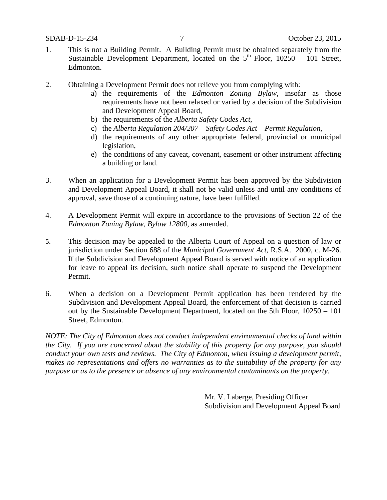- 1. This is not a Building Permit. A Building Permit must be obtained separately from the Sustainable Development Department, located on the  $5<sup>th</sup>$  Floor, 10250 – 101 Street, Edmonton.
- 2. Obtaining a Development Permit does not relieve you from complying with:
	- a) the requirements of the *Edmonton Zoning Bylaw*, insofar as those requirements have not been relaxed or varied by a decision of the Subdivision and Development Appeal Board,
	- b) the requirements of the *Alberta Safety Codes Act*,
	- c) the *Alberta Regulation 204/207 – Safety Codes Act – Permit Regulation*,
	- d) the requirements of any other appropriate federal, provincial or municipal legislation,
	- e) the conditions of any caveat, covenant, easement or other instrument affecting a building or land.
- 3. When an application for a Development Permit has been approved by the Subdivision and Development Appeal Board, it shall not be valid unless and until any conditions of approval, save those of a continuing nature, have been fulfilled.
- 4. A Development Permit will expire in accordance to the provisions of Section 22 of the *Edmonton Zoning Bylaw, Bylaw 12800*, as amended.
- 5. This decision may be appealed to the Alberta Court of Appeal on a question of law or jurisdiction under Section 688 of the *Municipal Government Act*, R.S.A. 2000, c. M-26. If the Subdivision and Development Appeal Board is served with notice of an application for leave to appeal its decision, such notice shall operate to suspend the Development Permit.
- 6. When a decision on a Development Permit application has been rendered by the Subdivision and Development Appeal Board, the enforcement of that decision is carried out by the Sustainable Development Department, located on the 5th Floor, 10250 – 101 Street, Edmonton.

*NOTE: The City of Edmonton does not conduct independent environmental checks of land within the City. If you are concerned about the stability of this property for any purpose, you should conduct your own tests and reviews. The City of Edmonton, when issuing a development permit, makes no representations and offers no warranties as to the suitability of the property for any purpose or as to the presence or absence of any environmental contaminants on the property.*

> Mr. V. Laberge, Presiding Officer Subdivision and Development Appeal Board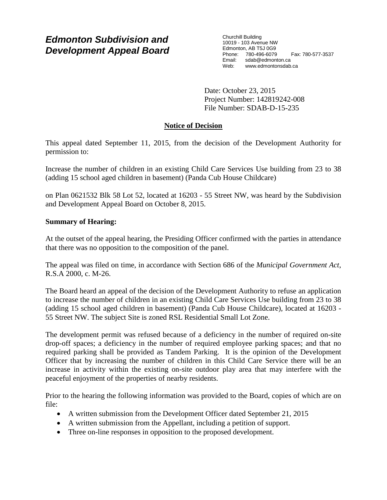# *Edmonton Subdivision and Development Appeal Board*

Churchill Building 10019 - 103 Avenue NW Edmonton, AB T5J 0G9 Phone: 780-496-6079 Fax: 780-577-3537 Email: sdab@edmonton.ca<br>Web: www.edmontonsdab www.edmontonsdab.ca

Date: October 23, 2015 Project Number: 142819242-008 File Number: SDAB-D-15-235

# **Notice of Decision**

This appeal dated September 11, 2015, from the decision of the Development Authority for permission to:

Increase the number of children in an existing Child Care Services Use building from 23 to 38 (adding 15 school aged children in basement) (Panda Cub House Childcare)

on Plan 0621532 Blk 58 Lot 52, located at 16203 - 55 Street NW, was heard by the Subdivision and Development Appeal Board on October 8, 2015.

### **Summary of Hearing:**

At the outset of the appeal hearing, the Presiding Officer confirmed with the parties in attendance that there was no opposition to the composition of the panel.

The appeal was filed on time, in accordance with Section 686 of the *Municipal Government Act*, R.S.A 2000, c. M-26.

The Board heard an appeal of the decision of the Development Authority to refuse an application to increase the number of children in an existing Child Care Services Use building from 23 to 38 (adding 15 school aged children in basement) (Panda Cub House Childcare), located at 16203 - 55 Street NW. The subject Site is zoned RSL Residential Small Lot Zone.

The development permit was refused because of a deficiency in the number of required on-site drop-off spaces; a deficiency in the number of required employee parking spaces; and that no required parking shall be provided as Tandem Parking. It is the opinion of the Development Officer that by increasing the number of children in this Child Care Service there will be an increase in activity within the existing on-site outdoor play area that may interfere with the peaceful enjoyment of the properties of nearby residents.

Prior to the hearing the following information was provided to the Board, copies of which are on file:

- A written submission from the Development Officer dated September 21, 2015
- A written submission from the Appellant, including a petition of support.
- Three on-line responses in opposition to the proposed development.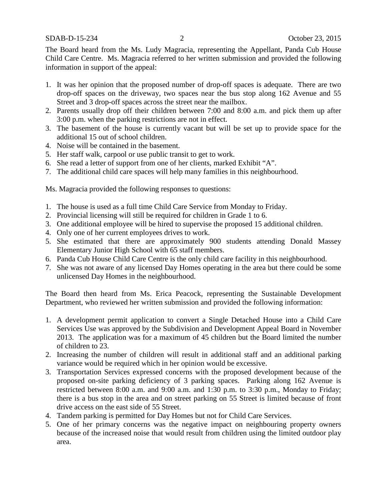The Board heard from the Ms. Ludy Magracia, representing the Appellant, Panda Cub House Child Care Centre. Ms. Magracia referred to her written submission and provided the following information in support of the appeal:

- 1. It was her opinion that the proposed number of drop-off spaces is adequate. There are two drop-off spaces on the driveway, two spaces near the bus stop along 162 Avenue and 55 Street and 3 drop-off spaces across the street near the mailbox.
- 2. Parents usually drop off their children between 7:00 and 8:00 a.m. and pick them up after 3:00 p.m. when the parking restrictions are not in effect.
- 3. The basement of the house is currently vacant but will be set up to provide space for the additional 15 out of school children.
- 4. Noise will be contained in the basement.
- 5. Her staff walk, carpool or use public transit to get to work.
- 6. She read a letter of support from one of her clients, marked Exhibit "A".
- 7. The additional child care spaces will help many families in this neighbourhood.

Ms. Magracia provided the following responses to questions:

- 1. The house is used as a full time Child Care Service from Monday to Friday.
- 2. Provincial licensing will still be required for children in Grade 1 to 6.
- 3. One additional employee will be hired to supervise the proposed 15 additional children.
- 4. Only one of her current employees drives to work.
- 5. She estimated that there are approximately 900 students attending Donald Massey Elementary Junior High School with 65 staff members.
- 6. Panda Cub House Child Care Centre is the only child care facility in this neighbourhood.
- 7. She was not aware of any licensed Day Homes operating in the area but there could be some unlicensed Day Homes in the neighbourhood.

The Board then heard from Ms. Erica Peacock, representing the Sustainable Development Department, who reviewed her written submission and provided the following information:

- 1. A development permit application to convert a Single Detached House into a Child Care Services Use was approved by the Subdivision and Development Appeal Board in November 2013. The application was for a maximum of 45 children but the Board limited the number of children to 23.
- 2. Increasing the number of children will result in additional staff and an additional parking variance would be required which in her opinion would be excessive.
- 3. Transportation Services expressed concerns with the proposed development because of the proposed on-site parking deficiency of 3 parking spaces. Parking along 162 Avenue is restricted between 8:00 a.m. and 9:00 a.m. and 1:30 p.m. to 3:30 p.m., Monday to Friday; there is a bus stop in the area and on street parking on 55 Street is limited because of front drive access on the east side of 55 Street.
- 4. Tandem parking is permitted for Day Homes but not for Child Care Services.
- 5. One of her primary concerns was the negative impact on neighbouring property owners because of the increased noise that would result from children using the limited outdoor play area.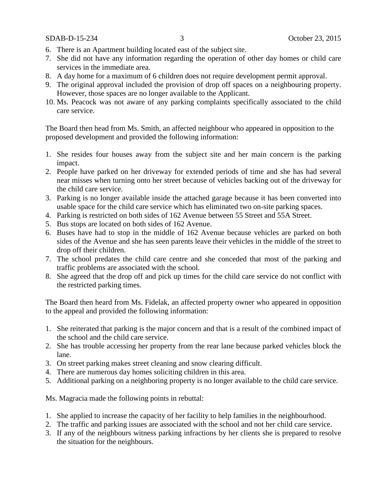SDAB-D-15-234 3 October 23, 2015

- 6. There is an Apartment building located east of the subject site.
- 7. She did not have any information regarding the operation of other day homes or child care services in the immediate area.
- 8. A day home for a maximum of 6 children does not require development permit approval.
- 9. The original approval included the provision of drop off spaces on a neighbouring property. However, those spaces are no longer available to the Applicant.
- 10. Ms. Peacock was not aware of any parking complaints specifically associated to the child care service.

The Board then head from Ms. Smith, an affected neighbour who appeared in opposition to the proposed development and provided the following information:

- 1. She resides four houses away from the subject site and her main concern is the parking impact.
- 2. People have parked on her driveway for extended periods of time and she has had several near misses when turning onto her street because of vehicles backing out of the driveway for the child care service.
- 3. Parking is no longer available inside the attached garage because it has been converted into usable space for the child care service which has eliminated two on-site parking spaces.
- 4. Parking is restricted on both sides of 162 Avenue between 55 Street and 55A Street.
- 5. Bus stops are located on both sides of 162 Avenue.
- 6. Buses have had to stop in the middle of 162 Avenue because vehicles are parked on both sides of the Avenue and she has seen parents leave their vehicles in the middle of the street to drop off their children.
- 7. The school predates the child care centre and she conceded that most of the parking and traffic problems are associated with the school.
- 8. She agreed that the drop off and pick up times for the child care service do not conflict with the restricted parking times.

The Board then heard from Ms. Fidelak, an affected property owner who appeared in opposition to the appeal and provided the following information:

- 1. She reiterated that parking is the major concern and that is a result of the combined impact of the school and the child care service.
- 2. She has trouble accessing her property from the rear lane because parked vehicles block the lane.
- 3. On street parking makes street cleaning and snow clearing difficult.
- 4. There are numerous day homes soliciting children in this area.
- 5. Additional parking on a neighboring property is no longer available to the child care service.

Ms. Magracia made the following points in rebuttal:

- 1. She applied to increase the capacity of her facility to help families in the neighbourhood.
- 2. The traffic and parking issues are associated with the school and not her child care service.
- 3. If any of the neighbours witness parking infractions by her clients she is prepared to resolve the situation for the neighbours.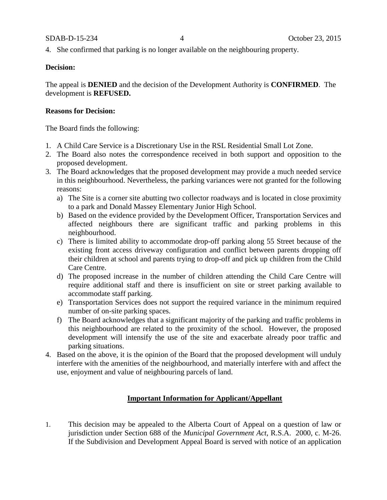#### SDAB-D-15-234 4 October 23, 2015

4. She confirmed that parking is no longer available on the neighbouring property.

#### **Decision:**

The appeal is **DENIED** and the decision of the Development Authority is **CONFIRMED**. The development is **REFUSED.**

#### **Reasons for Decision:**

The Board finds the following:

- 1. A Child Care Service is a Discretionary Use in the RSL Residential Small Lot Zone.
- 2. The Board also notes the correspondence received in both support and opposition to the proposed development.
- 3. The Board acknowledges that the proposed development may provide a much needed service in this neighbourhood. Nevertheless, the parking variances were not granted for the following reasons:
	- a) The Site is a corner site abutting two collector roadways and is located in close proximity to a park and Donald Massey Elementary Junior High School.
	- b) Based on the evidence provided by the Development Officer, Transportation Services and affected neighbours there are significant traffic and parking problems in this neighbourhood.
	- c) There is limited ability to accommodate drop-off parking along 55 Street because of the existing front access driveway configuration and conflict between parents dropping off their children at school and parents trying to drop-off and pick up children from the Child Care Centre.
	- d) The proposed increase in the number of children attending the Child Care Centre will require additional staff and there is insufficient on site or street parking available to accommodate staff parking.
	- e) Transportation Services does not support the required variance in the minimum required number of on-site parking spaces.
	- f) The Board acknowledges that a significant majority of the parking and traffic problems in this neighbourhood are related to the proximity of the school. However, the proposed development will intensify the use of the site and exacerbate already poor traffic and parking situations.
- 4. Based on the above, it is the opinion of the Board that the proposed development will unduly interfere with the amenities of the neighbourhood, and materially interfere with and affect the use, enjoyment and value of neighbouring parcels of land.

# **Important Information for Applicant/Appellant**

1. This decision may be appealed to the Alberta Court of Appeal on a question of law or jurisdiction under Section 688 of the *Municipal Government Act*, R.S.A. 2000, c. M-26. If the Subdivision and Development Appeal Board is served with notice of an application